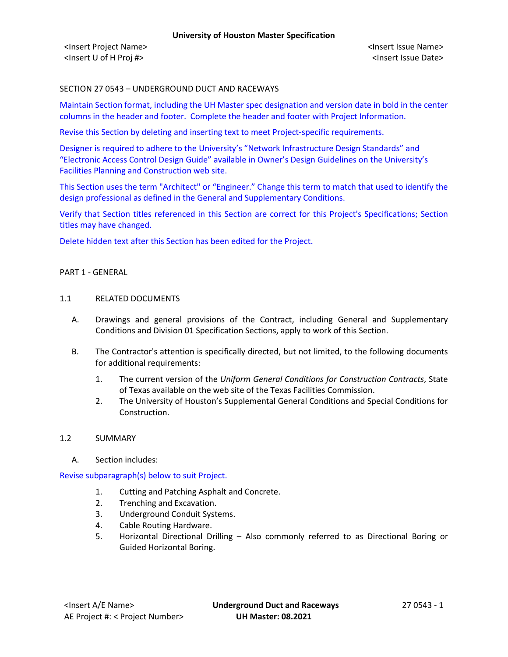# SECTION 27 0543 – UNDERGROUND DUCT AND RACEWAYS

Maintain Section format, including the UH Master spec designation and version date in bold in the center columns in the header and footer. Complete the header and footer with Project Information.

Revise this Section by deleting and inserting text to meet Project-specific requirements.

Designer is required to adhere to the University's "Network Infrastructure Design Standards" and "Electronic Access Control Design Guide" available in Owner's Design Guidelines on the University's Facilities Planning and Construction web site.

This Section uses the term "Architect" or "Engineer." Change this term to match that used to identify the design professional as defined in the General and Supplementary Conditions.

Verify that Section titles referenced in this Section are correct for this Project's Specifications; Section titles may have changed.

Delete hidden text after this Section has been edited for the Project.

#### PART 1 - GENERAL

### 1.1 RELATED DOCUMENTS

- A. Drawings and general provisions of the Contract, including General and Supplementary Conditions and Division 01 Specification Sections, apply to work of this Section.
- B. The Contractor's attention is specifically directed, but not limited, to the following documents for additional requirements:
	- 1. The current version of the *Uniform General Conditions for Construction Contracts*, State of Texas available on the web site of the Texas Facilities Commission.
	- 2. The University of Houston's Supplemental General Conditions and Special Conditions for Construction.

### 1.2 SUMMARY

A. Section includes:

Revise subparagraph(s) below to suit Project.

- 1. Cutting and Patching Asphalt and Concrete.
- 2. Trenching and Excavation.
- 3. Underground Conduit Systems.
- 4. Cable Routing Hardware.
- 5. Horizontal Directional Drilling Also commonly referred to as Directional Boring or Guided Horizontal Boring.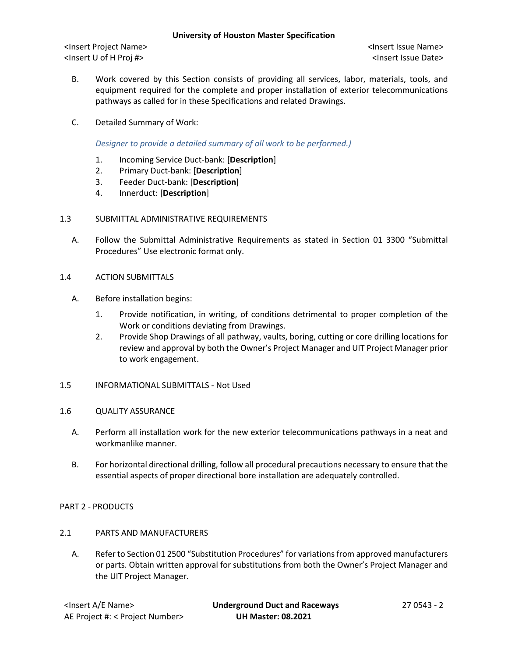- B. Work covered by this Section consists of providing all services, labor, materials, tools, and equipment required for the complete and proper installation of exterior telecommunications pathways as called for in these Specifications and related Drawings.
- C. Detailed Summary of Work:

*Designer to provide a detailed summary of all work to be performed.)*

- 1. Incoming Service Duct-bank: [**Description**]
- 2. Primary Duct-bank: [**Description**]
- 3. Feeder Duct-bank: [**Description**]
- 4. Innerduct: [**Description**]
- 1.3 SUBMITTAL ADMINISTRATIVE REQUIREMENTS
	- A. Follow the Submittal Administrative Requirements as stated in Section 01 3300 "Submittal Procedures" Use electronic format only.
- 1.4 ACTION SUBMITTALS
	- A. Before installation begins:
		- 1. Provide notification, in writing, of conditions detrimental to proper completion of the Work or conditions deviating from Drawings.
		- 2. Provide Shop Drawings of all pathway, vaults, boring, cutting or core drilling locations for review and approval by both the Owner's Project Manager and UIT Project Manager prior to work engagement.
- 1.5 INFORMATIONAL SUBMITTALS Not Used

### 1.6 QUALITY ASSURANCE

- A. Perform all installation work for the new exterior telecommunications pathways in a neat and workmanlike manner.
- B. For horizontal directional drilling, follow all procedural precautions necessary to ensure that the essential aspects of proper directional bore installation are adequately controlled.

### PART 2 - PRODUCTS

- 2.1 PARTS AND MANUFACTURERS
	- A. Refer to Section 01 2500 "Substitution Procedures" for variations from approved manufacturers or parts. Obtain written approval for substitutions from both the Owner's Project Manager and the UIT Project Manager.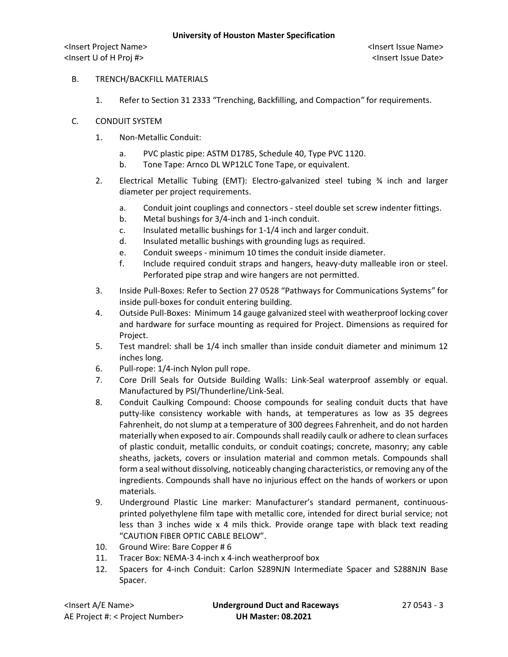# B. TRENCH/BACKFILL MATERIALS

1. Refer to Section 31 2333 "Trenching, Backfilling, and Compaction*"* for requirements.

## C. CONDUIT SYSTEM

- 1. Non-Metallic Conduit:
	- a. PVC plastic pipe: ASTM D1785, Schedule 40, Type PVC 1120.
	- b. Tone Tape: Arnco DL WP12LC Tone Tape, or equivalent.
- 2. Electrical Metallic Tubing (EMT): Electro-galvanized steel tubing ¾ inch and larger diameter per project requirements.
	- a. Conduit joint couplings and connectors steel double set screw indenter fittings.
	- b. Metal bushings for 3/4-inch and 1-inch conduit.
	- c. Insulated metallic bushings for 1-1/4 inch and larger conduit.
	- d. Insulated metallic bushings with grounding lugs as required.
	- e. Conduit sweeps minimum 10 times the conduit inside diameter.
	- f. Include required conduit straps and hangers, heavy-duty malleable iron or steel. Perforated pipe strap and wire hangers are not permitted.
- 3. Inside Pull-Boxes: Refer to Section 27 0528 "Pathways for Communications Systems*"* for inside pull-boxes for conduit entering building.
- 4. Outside Pull-Boxes: Minimum 14 gauge galvanized steel with weatherproof locking cover and hardware for surface mounting as required for Project. Dimensions as required for Project.
- 5. Test mandrel: shall be 1/4 inch smaller than inside conduit diameter and minimum 12 inches long.
- 6. Pull-rope: 1/4-inch Nylon pull rope.
- 7. Core Drill Seals for Outside Building Walls: Link-Seal waterproof assembly or equal. Manufactured by PSI/Thunderline/Link-Seal.
- 8. Conduit Caulking Compound: Choose compounds for sealing conduit ducts that have putty-like consistency workable with hands, at temperatures as low as 35 degrees Fahrenheit, do not slump at a temperature of 300 degrees Fahrenheit, and do not harden materially when exposed to air. Compounds shall readily caulk or adhere to clean surfaces of plastic conduit, metallic conduits, or conduit coatings; concrete, masonry; any cable sheaths, jackets, covers or insulation material and common metals. Compounds shall form a seal without dissolving, noticeably changing characteristics, or removing any of the ingredients. Compounds shall have no injurious effect on the hands of workers or upon materials.
- 9. Underground Plastic Line marker: Manufacturer's standard permanent, continuousprinted polyethylene film tape with metallic core, intended for direct burial service; not less than 3 inches wide x 4 mils thick. Provide orange tape with black text reading "CAUTION FIBER OPTIC CABLE BELOW".
- 10. Ground Wire: Bare Copper # 6
- 11. Tracer Box: NEMA-3 4-inch x 4-inch weatherproof box
- 12. Spacers for 4-inch Conduit: Carlon S289NJN Intermediate Spacer and S288NJN Base Spacer.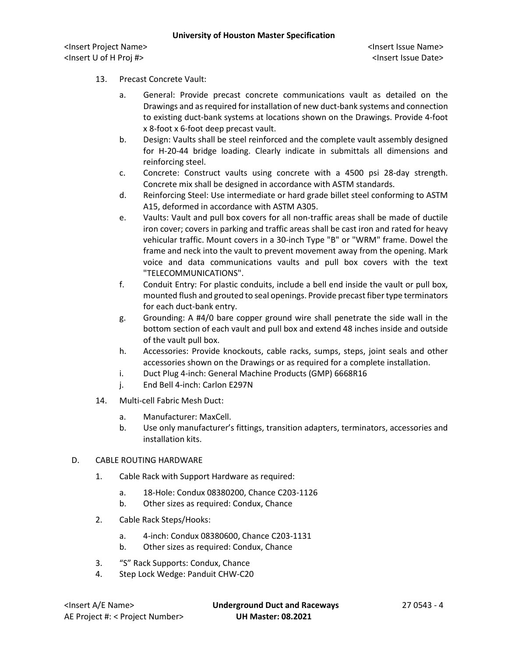- 13. Precast Concrete Vault:
	- a. General: Provide precast concrete communications vault as detailed on the Drawings and as required for installation of new duct-bank systems and connection to existing duct-bank systems at locations shown on the Drawings. Provide 4-foot x 8-foot x 6-foot deep precast vault.
	- b. Design: Vaults shall be steel reinforced and the complete vault assembly designed for H-20-44 bridge loading. Clearly indicate in submittals all dimensions and reinforcing steel.
	- c. Concrete: Construct vaults using concrete with a 4500 psi 28-day strength. Concrete mix shall be designed in accordance with ASTM standards.
	- d. Reinforcing Steel: Use intermediate or hard grade billet steel conforming to ASTM A15, deformed in accordance with ASTM A305.
	- e. Vaults: Vault and pull box covers for all non-traffic areas shall be made of ductile iron cover; covers in parking and traffic areas shall be cast iron and rated for heavy vehicular traffic. Mount covers in a 30-inch Type "B" or "WRM" frame. Dowel the frame and neck into the vault to prevent movement away from the opening. Mark voice and data communications vaults and pull box covers with the text "TELECOMMUNICATIONS".
	- f. Conduit Entry: For plastic conduits, include a bell end inside the vault or pull box, mounted flush and grouted to seal openings. Provide precast fiber type terminators for each duct-bank entry.
	- g. Grounding: A #4/0 bare copper ground wire shall penetrate the side wall in the bottom section of each vault and pull box and extend 48 inches inside and outside of the vault pull box.
	- h. Accessories: Provide knockouts, cable racks, sumps, steps, joint seals and other accessories shown on the Drawings or as required for a complete installation.
	- i. Duct Plug 4-inch: General Machine Products (GMP) 6668R16
	- j. End Bell 4-inch: Carlon E297N
- 14. Multi-cell Fabric Mesh Duct:
	- a. Manufacturer: MaxCell.
	- b. Use only manufacturer's fittings, transition adapters, terminators, accessories and installation kits.
- D. CABLE ROUTING HARDWARE
	- 1. Cable Rack with Support Hardware as required:
		- a. 18-Hole: Condux 08380200, Chance C203-1126
		- b. Other sizes as required: Condux, Chance
	- 2. Cable Rack Steps/Hooks:
		- a. 4-inch: Condux 08380600, Chance C203-1131
		- b. Other sizes as required: Condux, Chance
	- 3. "S" Rack Supports: Condux, Chance
	- 4. Step Lock Wedge: Panduit CHW-C20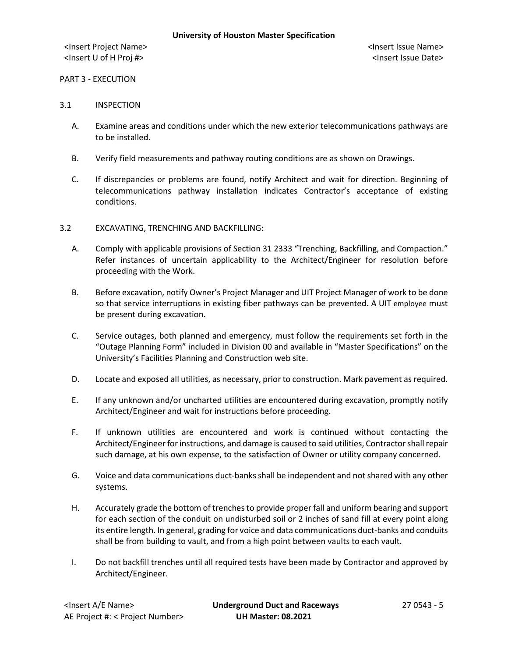# PART 3 - EXECUTION

### 3.1 INSPECTION

- A. Examine areas and conditions under which the new exterior telecommunications pathways are to be installed.
- B. Verify field measurements and pathway routing conditions are as shown on Drawings.
- C. If discrepancies or problems are found, notify Architect and wait for direction. Beginning of telecommunications pathway installation indicates Contractor's acceptance of existing conditions.

## 3.2 EXCAVATING, TRENCHING AND BACKFILLING:

- A. Comply with applicable provisions of Section 31 2333 "Trenching, Backfilling, and Compaction." Refer instances of uncertain applicability to the Architect/Engineer for resolution before proceeding with the Work.
- B. Before excavation, notify Owner's Project Manager and UIT Project Manager of work to be done so that service interruptions in existing fiber pathways can be prevented. A UIT employee must be present during excavation.
- C. Service outages, both planned and emergency, must follow the requirements set forth in the "Outage Planning Form" included in Division 00 and available in "Master Specifications" on the University's Facilities Planning and Construction web site.
- D. Locate and exposed all utilities, as necessary, prior to construction. Mark pavement as required.
- E. If any unknown and/or uncharted utilities are encountered during excavation, promptly notify Architect/Engineer and wait for instructions before proceeding.
- F. If unknown utilities are encountered and work is continued without contacting the Architect/Engineer for instructions, and damage is caused to said utilities, Contractor shall repair such damage, at his own expense, to the satisfaction of Owner or utility company concerned.
- G. Voice and data communications duct-banks shall be independent and not shared with any other systems.
- H. Accurately grade the bottom of trenches to provide proper fall and uniform bearing and support for each section of the conduit on undisturbed soil or 2 inches of sand fill at every point along its entire length. In general, grading for voice and data communications duct-banks and conduits shall be from building to vault, and from a high point between vaults to each vault.
- I. Do not backfill trenches until all required tests have been made by Contractor and approved by Architect/Engineer.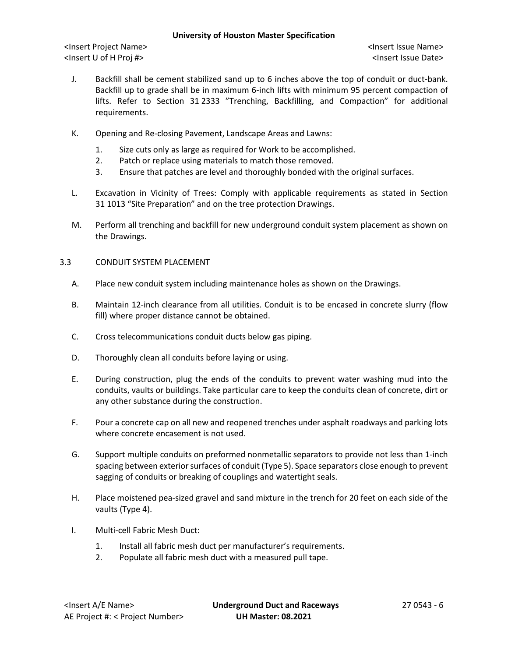### **University of Houston Master Specification**

<Insert Project Name> <Insert Issue Name> <Insert U of H Proj #> <Insert Issue Date>

- J. Backfill shall be cement stabilized sand up to 6 inches above the top of conduit or duct-bank. Backfill up to grade shall be in maximum 6-inch lifts with minimum 95 percent compaction of lifts. Refer to Section 31 2333 "Trenching, Backfilling, and Compaction" for additional requirements.
- K. Opening and Re-closing Pavement, Landscape Areas and Lawns:
	- 1. Size cuts only as large as required for Work to be accomplished.
	- 2. Patch or replace using materials to match those removed.
	- 3. Ensure that patches are level and thoroughly bonded with the original surfaces.
- L. Excavation in Vicinity of Trees: Comply with applicable requirements as stated in Section 31 1013 "Site Preparation" and on the tree protection Drawings.
- M. Perform all trenching and backfill for new underground conduit system placement as shown on the Drawings.

## 3.3 CONDUIT SYSTEM PLACEMENT

- A. Place new conduit system including maintenance holes as shown on the Drawings.
- B. Maintain 12-inch clearance from all utilities. Conduit is to be encased in concrete slurry (flow fill) where proper distance cannot be obtained.
- C. Cross telecommunications conduit ducts below gas piping.
- D. Thoroughly clean all conduits before laying or using.
- E. During construction, plug the ends of the conduits to prevent water washing mud into the conduits, vaults or buildings. Take particular care to keep the conduits clean of concrete, dirt or any other substance during the construction.
- F. Pour a concrete cap on all new and reopened trenches under asphalt roadways and parking lots where concrete encasement is not used.
- G. Support multiple conduits on preformed nonmetallic separators to provide not less than 1-inch spacing between exterior surfaces of conduit (Type 5). Space separators close enough to prevent sagging of conduits or breaking of couplings and watertight seals.
- H. Place moistened pea-sized gravel and sand mixture in the trench for 20 feet on each side of the vaults (Type 4).
- I. Multi-cell Fabric Mesh Duct:
	- 1. Install all fabric mesh duct per manufacturer's requirements.
	- 2. Populate all fabric mesh duct with a measured pull tape.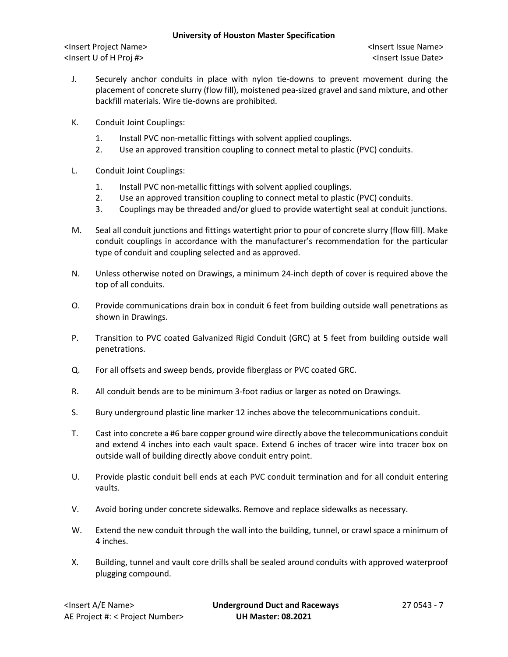- J. Securely anchor conduits in place with nylon tie-downs to prevent movement during the placement of concrete slurry (flow fill), moistened pea-sized gravel and sand mixture, and other backfill materials. Wire tie-downs are prohibited.
- K. Conduit Joint Couplings:
	- 1. Install PVC non-metallic fittings with solvent applied couplings.
	- 2. Use an approved transition coupling to connect metal to plastic (PVC) conduits.
- L. Conduit Joint Couplings:
	- 1. Install PVC non-metallic fittings with solvent applied couplings.
	- 2. Use an approved transition coupling to connect metal to plastic (PVC) conduits.
	- 3. Couplings may be threaded and/or glued to provide watertight seal at conduit junctions.
- M. Seal all conduit junctions and fittings watertight prior to pour of concrete slurry (flow fill). Make conduit couplings in accordance with the manufacturer's recommendation for the particular type of conduit and coupling selected and as approved.
- N. Unless otherwise noted on Drawings, a minimum 24-inch depth of cover is required above the top of all conduits.
- O. Provide communications drain box in conduit 6 feet from building outside wall penetrations as shown in Drawings.
- P. Transition to PVC coated Galvanized Rigid Conduit (GRC) at 5 feet from building outside wall penetrations.
- Q. For all offsets and sweep bends, provide fiberglass or PVC coated GRC.
- R. All conduit bends are to be minimum 3-foot radius or larger as noted on Drawings.
- S. Bury underground plastic line marker 12 inches above the telecommunications conduit.
- T. Cast into concrete a #6 bare copper ground wire directly above the telecommunications conduit and extend 4 inches into each vault space. Extend 6 inches of tracer wire into tracer box on outside wall of building directly above conduit entry point.
- U. Provide plastic conduit bell ends at each PVC conduit termination and for all conduit entering vaults.
- V. Avoid boring under concrete sidewalks. Remove and replace sidewalks as necessary.
- W. Extend the new conduit through the wall into the building, tunnel, or crawl space a minimum of 4 inches.
- X. Building, tunnel and vault core drills shall be sealed around conduits with approved waterproof plugging compound.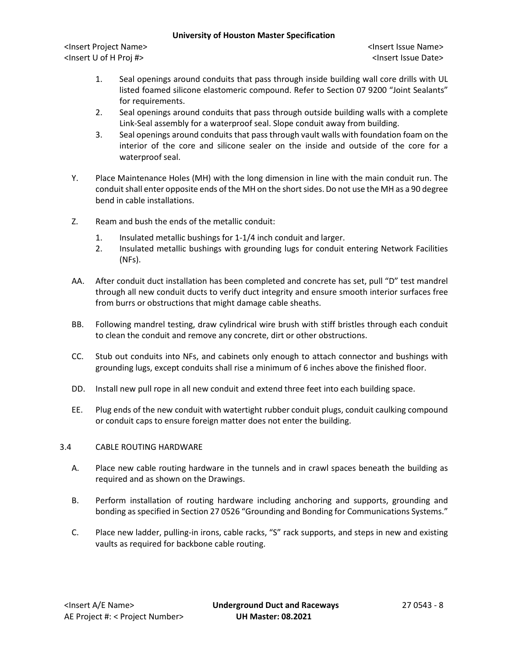### **University of Houston Master Specification**

<Insert Project Name> <Insert Issue Name> <Insert U of H Proj #> <Insert Issue Date>

- 1. Seal openings around conduits that pass through inside building wall core drills with UL listed foamed silicone elastomeric compound. Refer to Section 07 9200 "Joint Sealants" for requirements.
- 2. Seal openings around conduits that pass through outside building walls with a complete Link-Seal assembly for a waterproof seal. Slope conduit away from building.
- 3. Seal openings around conduits that pass through vault walls with foundation foam on the interior of the core and silicone sealer on the inside and outside of the core for a waterproof seal.
- Y. Place Maintenance Holes (MH) with the long dimension in line with the main conduit run. The conduit shall enter opposite ends of the MH on the short sides. Do not use the MH as a 90 degree bend in cable installations.
- Z. Ream and bush the ends of the metallic conduit:
	- 1. Insulated metallic bushings for 1-1/4 inch conduit and larger.
	- 2. Insulated metallic bushings with grounding lugs for conduit entering Network Facilities (NFs).
- AA. After conduit duct installation has been completed and concrete has set, pull "D" test mandrel through all new conduit ducts to verify duct integrity and ensure smooth interior surfaces free from burrs or obstructions that might damage cable sheaths.
- BB. Following mandrel testing, draw cylindrical wire brush with stiff bristles through each conduit to clean the conduit and remove any concrete, dirt or other obstructions.
- CC. Stub out conduits into NFs, and cabinets only enough to attach connector and bushings with grounding lugs, except conduits shall rise a minimum of 6 inches above the finished floor.
- DD. Install new pull rope in all new conduit and extend three feet into each building space.
- EE. Plug ends of the new conduit with watertight rubber conduit plugs, conduit caulking compound or conduit caps to ensure foreign matter does not enter the building.

# 3.4 CABLE ROUTING HARDWARE

- A. Place new cable routing hardware in the tunnels and in crawl spaces beneath the building as required and as shown on the Drawings.
- B. Perform installation of routing hardware including anchoring and supports, grounding and bonding as specified in Section 27 0526 "Grounding and Bonding for Communications Systems."
- C. Place new ladder, pulling-in irons, cable racks, "S" rack supports, and steps in new and existing vaults as required for backbone cable routing.